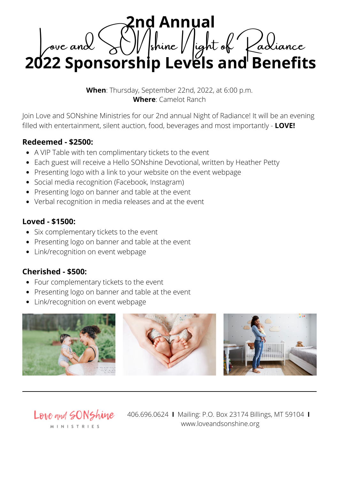**2nd Annual** Love and  $\sum_{k=1}^{\infty}$  shine  $k$  light of  $k$  adiance **2022 Sponsorship Levels and Benefits**

**When**: Thursday, September 22nd, 2022, at 6:00 p.m. **Where**: Camelot Ranch

Join Love and SONshine Ministries for our 2nd annual Night of Radiance! It will be an evening filled with entertainment, silent auction, food, beverages and most importantly - **LOVE!**

## **Redeemed - \$2500:**

- A VIP Table with ten complimentary tickets to the event
- Each guest will receive a Hello SONshine Devotional, written by Heather Petty  $\bullet$
- Presenting logo with a link to your website on the event webpage
- Social media recognition (Facebook, Instagram)
- Presenting logo on banner and table at the event
- Verbal recognition in media releases and at the event

## **Loved - \$1500:**

- Six complementary tickets to the event
- Presenting logo on banner and table at the event
- Link/recognition on event webpage

## **Cherished - \$500:**

- Four complementary tickets to the event
- Presenting logo on banner and table at the event
- Link/recognition on event webpage



Love and SONShine M I N I S T R I E S

406.696.0624 **I** Mailing: P.O. Box 23174 Billings, MT 59104 **I** www.loveandsonshine.org